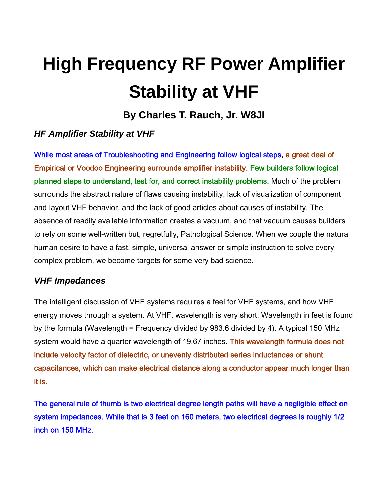# **High Frequency RF Power Amplifier Stability at VHF**

**By Charles T. Rauch, Jr. W8JI** 

## *HF Amplifier Stability at VHF*

While most areas of Troubleshooting and Engineering follow logical steps, a great deal of Empirical or Voodoo Engineering surrounds amplifier instability. Few builders follow logical planned steps to understand, test for, and correct instability problems. Much of the problem surrounds the abstract nature of flaws causing instability, lack of visualization of component and layout VHF behavior, and the lack of good articles about causes of instability. The absence of readily available information creates a vacuum, and that vacuum causes builders to rely on some well-written but, regretfully, Pathological Science. When we couple the natural human desire to have a fast, simple, universal answer or simple instruction to solve every complex problem, we become targets for some very bad science.

#### *VHF Impedances*

The intelligent discussion of VHF systems requires a feel for VHF systems, and how VHF energy moves through a system. At VHF, wavelength is very short. Wavelength in feet is found by the formula (Wavelength = Frequency divided by 983.6 divided by 4). A typical 150 MHz system would have a quarter wavelength of 19.67 inches. This wavelength formula does not include velocity factor of dielectric, or unevenly distributed series inductances or shunt capacitances, which can make electrical distance along a conductor appear much longer than it is.

The general rule of thumb is two electrical degree length paths will have a negligible effect on system impedances. While that is 3 feet on 160 meters, two electrical degrees is roughly 1/2 inch on 150 MHz.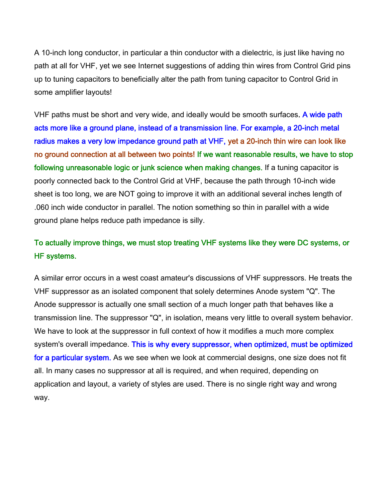A 10-inch long conductor, in particular a thin conductor with a dielectric, is just like having no path at all for VHF, yet we see Internet suggestions of adding thin wires from Control Grid pins up to tuning capacitors to beneficially alter the path from tuning capacitor to Control Grid in some amplifier layouts!

VHF paths must be short and very wide, and ideally would be smooth surfaces. A wide path acts more like a ground plane, instead of a transmission line. For example, a 20-inch metal radius makes a very low impedance ground path at VHF, yet a 20-inch thin wire can look like no ground connection at all between two points! If we want reasonable results, we have to stop following unreasonable logic or junk science when making changes. If a tuning capacitor is poorly connected back to the Control Grid at VHF, because the path through 10-inch wide sheet is too long, we are NOT going to improve it with an additional several inches length of .060 inch wide conductor in parallel. The notion something so thin in parallel with a wide ground plane helps reduce path impedance is silly.

## To actually improve things, we must stop treating VHF systems like they were DC systems, or HF systems.

A similar error occurs in a west coast amateur's discussions of VHF suppressors. He treats the VHF suppressor as an isolated component that solely determines Anode system "Q". The Anode suppressor is actually one small section of a much longer path that behaves like a transmission line. The suppressor "Q", in isolation, means very little to overall system behavior. We have to look at the suppressor in full context of how it modifies a much more complex system's overall impedance. This is why every suppressor, when optimized, must be optimized for a particular system. As we see when we look at commercial designs, one size does not fit all. In many cases no suppressor at all is required, and when required, depending on application and layout, a variety of styles are used. There is no single right way and wrong way.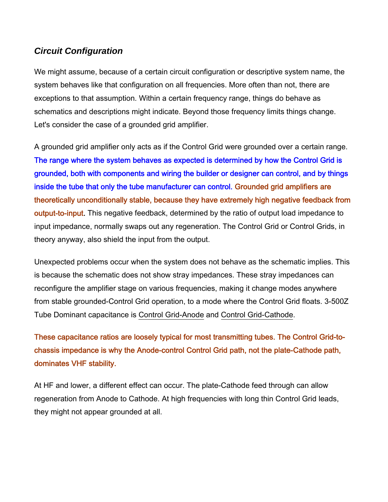#### *Circuit Configuration*

We might assume, because of a certain circuit configuration or descriptive system name, the system behaves like that configuration on all frequencies. More often than not, there are exceptions to that assumption. Within a certain frequency range, things do behave as schematics and descriptions might indicate. Beyond those frequency limits things change. Let's consider the case of a grounded grid amplifier.

A grounded grid amplifier only acts as if the Control Grid were grounded over a certain range. The range where the system behaves as expected is determined by how the Control Grid is grounded, both with components and wiring the builder or designer can control, and by things inside the tube that only the tube manufacturer can control. Grounded grid amplifiers are theoretically unconditionally stable, because they have extremely high negative feedback from output-to-input. This negative feedback, determined by the ratio of output load impedance to input impedance, normally swaps out any regeneration. The Control Grid or Control Grids, in theory anyway, also shield the input from the output.

Unexpected problems occur when the system does not behave as the schematic implies. This is because the schematic does not show stray impedances. These stray impedances can reconfigure the amplifier stage on various frequencies, making it change modes anywhere from stable grounded-Control Grid operation, to a mode where the Control Grid floats. 3-500Z Tube Dominant capacitance is Control Grid-Anode and Control Grid-Cathode.

# These capacitance ratios are loosely typical for most transmitting tubes. The Control Grid-tochassis impedance is why the Anode-control Control Grid path, not the plate-Cathode path, dominates VHF stability.

At HF and lower, a different effect can occur. The plate-Cathode feed through can allow regeneration from Anode to Cathode. At high frequencies with long thin Control Grid leads, they might not appear grounded at all.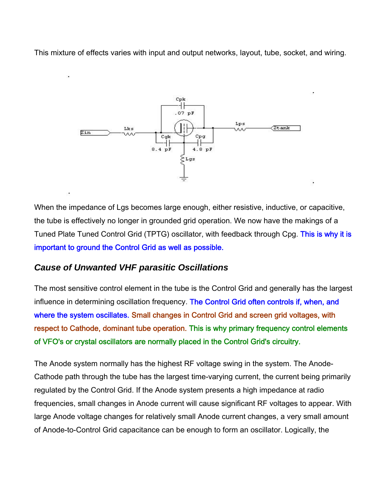This mixture of effects varies with input and output networks, layout, tube, socket, and wiring.



When the impedance of Lgs becomes large enough, either resistive, inductive, or capacitive, the tube is effectively no longer in grounded grid operation. We now have the makings of a Tuned Plate Tuned Control Grid (TPTG) oscillator, with feedback through Cpg. This is why it is important to ground the Control Grid as well as possible.

#### *Cause of Unwanted VHF parasitic Oscillations*

The most sensitive control element in the tube is the Control Grid and generally has the largest influence in determining oscillation frequency. The Control Grid often controls if, when, and where the system oscillates. Small changes in Control Grid and screen grid voltages, with respect to Cathode, dominant tube operation. This is why primary frequency control elements of VFO's or crystal oscillators are normally placed in the Control Grid's circuitry.

The Anode system normally has the highest RF voltage swing in the system. The Anode-Cathode path through the tube has the largest time-varying current, the current being primarily regulated by the Control Grid. If the Anode system presents a high impedance at radio frequencies, small changes in Anode current will cause significant RF voltages to appear. With large Anode voltage changes for relatively small Anode current changes, a very small amount of Anode-to-Control Grid capacitance can be enough to form an oscillator. Logically, the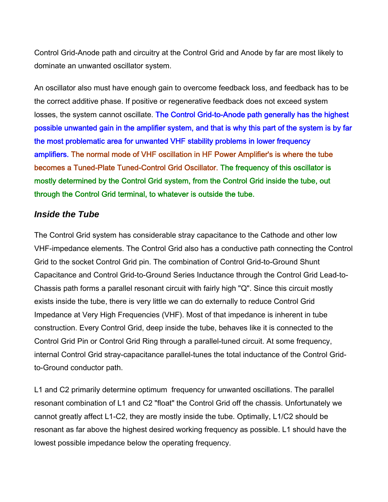Control Grid-Anode path and circuitry at the Control Grid and Anode by far are most likely to dominate an unwanted oscillator system.

An oscillator also must have enough gain to overcome feedback loss, and feedback has to be the correct additive phase. If positive or regenerative feedback does not exceed system losses, the system cannot oscillate. The Control Grid-to-Anode path generally has the highest possible unwanted gain in the amplifier system, and that is why this part of the system is by far the most problematic area for unwanted VHF stability problems in lower frequency amplifiers. The normal mode of VHF oscillation in HF Power Amplifier's is where the tube becomes a Tuned-Plate Tuned-Control Grid Oscillator. The frequency of this oscillator is mostly determined by the Control Grid system, from the Control Grid inside the tube, out through the Control Grid terminal, to whatever is outside the tube.

#### *Inside the Tube*

The Control Grid system has considerable stray capacitance to the Cathode and other low VHF-impedance elements. The Control Grid also has a conductive path connecting the Control Grid to the socket Control Grid pin. The combination of Control Grid-to-Ground Shunt Capacitance and Control Grid-to-Ground Series Inductance through the Control Grid Lead-to-Chassis path forms a parallel resonant circuit with fairly high "Q". Since this circuit mostly exists inside the tube, there is very little we can do externally to reduce Control Grid Impedance at Very High Frequencies (VHF). Most of that impedance is inherent in tube construction. Every Control Grid, deep inside the tube, behaves like it is connected to the Control Grid Pin or Control Grid Ring through a parallel-tuned circuit. At some frequency, internal Control Grid stray-capacitance parallel-tunes the total inductance of the Control Gridto-Ground conductor path.

L1 and C2 primarily determine optimum frequency for unwanted oscillations. The parallel resonant combination of L1 and C2 "float" the Control Grid off the chassis. Unfortunately we cannot greatly affect L1-C2, they are mostly inside the tube. Optimally, L1/C2 should be resonant as far above the highest desired working frequency as possible. L1 should have the lowest possible impedance below the operating frequency.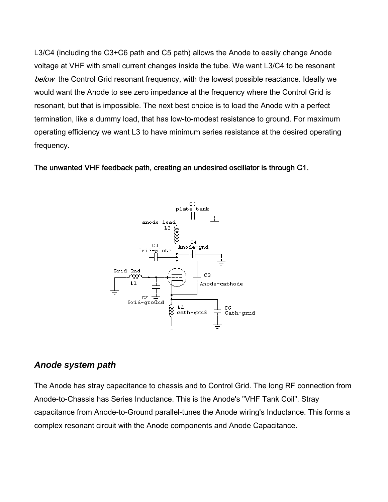L3/C4 (including the C3+C6 path and C5 path) allows the Anode to easily change Anode voltage at VHF with small current changes inside the tube. We want L3/C4 to be resonant below the Control Grid resonant frequency, with the lowest possible reactance. Ideally we would want the Anode to see zero impedance at the frequency where the Control Grid is resonant, but that is impossible. The next best choice is to load the Anode with a perfect termination, like a dummy load, that has low-to-modest resistance to ground. For maximum operating efficiency we want L3 to have minimum series resistance at the desired operating frequency.

The unwanted VHF feedback path, creating an undesired oscillator is through C1.



#### *Anode system path*

The Anode has stray capacitance to chassis and to Control Grid. The long RF connection from Anode-to-Chassis has Series Inductance. This is the Anode's "VHF Tank Coil". Stray capacitance from Anode-to-Ground parallel-tunes the Anode wiring's Inductance. This forms a complex resonant circuit with the Anode components and Anode Capacitance.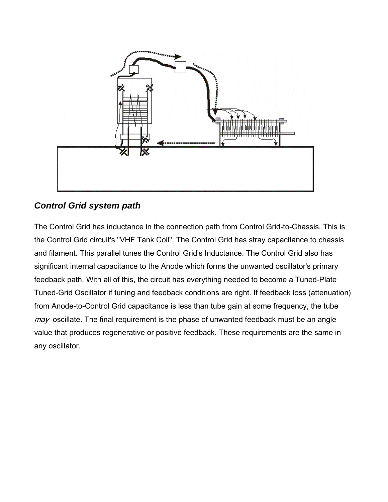

## *Control Grid system path*

The Control Grid has inductance in the connection path from Control Grid-to-Chassis. This is the Control Grid circuit's "VHF Tank Coil". The Control Grid has stray capacitance to chassis and filament. This parallel tunes the Control Grid's Inductance. The Control Grid also has significant internal capacitance to the Anode which forms the unwanted oscillator's primary feedback path. With all of this, the circuit has everything needed to become a Tuned-Plate Tuned-Grid Oscillator if tuning and feedback conditions are right. If feedback loss (attenuation) from Anode-to-Control Grid capacitance is less than tube gain at some frequency, the tube  $may$  oscillate. The final requirement is the phase of unwanted feedback must be an angle value that produces regenerative or positive feedback. These requirements are the same in any oscillator.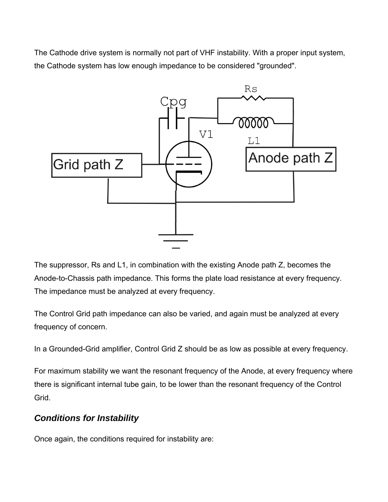The Cathode drive system is normally not part of VHF instability. With a proper input system, the Cathode system has low enough impedance to be considered "grounded".



The suppressor, Rs and L1, in combination with the existing Anode path Z, becomes the Anode-to-Chassis path impedance. This forms the plate load resistance at every frequency. The impedance must be analyzed at every frequency.

The Control Grid path impedance can also be varied, and again must be analyzed at every frequency of concern.

In a Grounded-Grid amplifier, Control Grid Z should be as low as possible at every frequency.

For maximum stability we want the resonant frequency of the Anode, at every frequency where there is significant internal tube gain, to be lower than the resonant frequency of the Control Grid.

#### *Conditions for Instability*

Once again, the conditions required for instability are: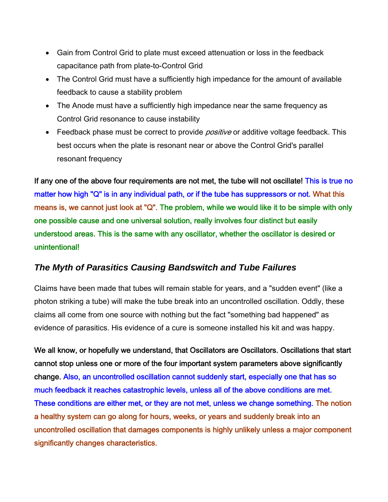- Gain from Control Grid to plate must exceed attenuation or loss in the feedback capacitance path from plate-to-Control Grid
- The Control Grid must have a sufficiently high impedance for the amount of available feedback to cause a stability problem
- The Anode must have a sufficiently high impedance near the same frequency as Control Grid resonance to cause instability
- Feedback phase must be correct to provide *positive* or additive voltage feedback. This best occurs when the plate is resonant near or above the Control Grid's parallel resonant frequency

If any one of the above four requirements are not met, the tube will not oscillate! This is true no matter how high "Q" is in any individual path, or if the tube has suppressors or not. What this means is, we cannot just look at "Q". The problem, while we would like it to be simple with only one possible cause and one universal solution, really involves four distinct but easily understood areas. This is the same with any oscillator, whether the oscillator is desired or unintentional!

#### *The Myth of Parasitics Causing Bandswitch and Tube Failures*

Claims have been made that tubes will remain stable for years, and a "sudden event" (like a photon striking a tube) will make the tube break into an uncontrolled oscillation. Oddly, these claims all come from one source with nothing but the fact "something bad happened" as evidence of parasitics. His evidence of a cure is someone installed his kit and was happy.

We all know, or hopefully we understand, that Oscillators are Oscillators. Oscillations that start cannot stop unless one or more of the four important system parameters above significantly change. Also, an uncontrolled oscillation cannot suddenly start, especially one that has so much feedback it reaches catastrophic levels, unless all of the above conditions are met. These conditions are either met, or they are not met, unless we change something. The notion a healthy system can go along for hours, weeks, or years and suddenly break into an uncontrolled oscillation that damages components is highly unlikely unless a major component significantly changes characteristics.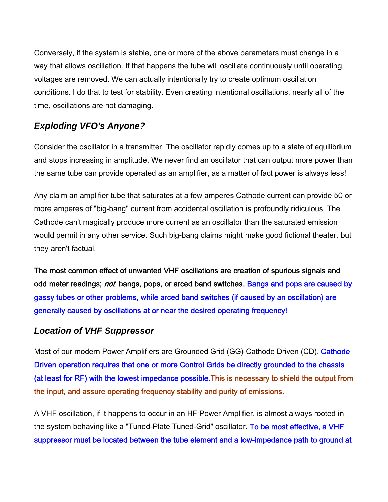Conversely, if the system is stable, one or more of the above parameters must change in a way that allows oscillation. If that happens the tube will oscillate continuously until operating voltages are removed. We can actually intentionally try to create optimum oscillation conditions. I do that to test for stability. Even creating intentional oscillations, nearly all of the time, oscillations are not damaging.

# *Exploding VFO's Anyone?*

Consider the oscillator in a transmitter. The oscillator rapidly comes up to a state of equilibrium and stops increasing in amplitude. We never find an oscillator that can output more power than the same tube can provide operated as an amplifier, as a matter of fact power is always less!

Any claim an amplifier tube that saturates at a few amperes Cathode current can provide 50 or more amperes of "big-bang" current from accidental oscillation is profoundly ridiculous. The Cathode can't magically produce more current as an oscillator than the saturated emission would permit in any other service. Such big-bang claims might make good fictional theater, but they aren't factual.

The most common effect of unwanted VHF oscillations are creation of spurious signals and odd meter readings; *not* bangs, pops, or arced band switches. Bangs and pops are caused by gassy tubes or other problems, while arced band switches (if caused by an oscillation) are generally caused by oscillations at or near the desired operating frequency!

#### *Location of VHF Suppressor*

Most of our modern Power Amplifiers are Grounded Grid (GG) Cathode Driven (CD). Cathode Driven operation requires that one or more Control Grids be directly grounded to the chassis (at least for RF) with the lowest impedance possible.This is necessary to shield the output from the input, and assure operating frequency stability and purity of emissions.

A VHF oscillation, if it happens to occur in an HF Power Amplifier, is almost always rooted in the system behaving like a "Tuned-Plate Tuned-Grid" oscillator. To be most effective, a VHF suppressor must be located between the tube element and a low-impedance path to ground at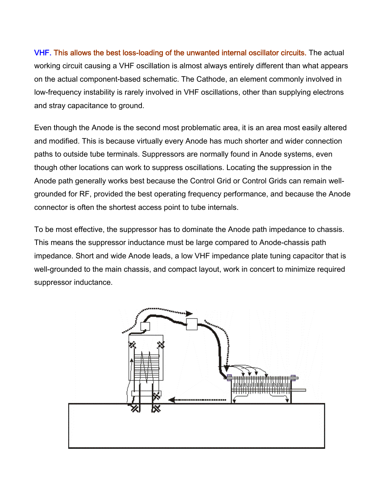VHF. This allows the best loss-loading of the unwanted internal oscillator circuits. The actual working circuit causing a VHF oscillation is almost always entirely different than what appears on the actual component-based schematic. The Cathode, an element commonly involved in low-frequency instability is rarely involved in VHF oscillations, other than supplying electrons and stray capacitance to ground.

Even though the Anode is the second most problematic area, it is an area most easily altered and modified. This is because virtually every Anode has much shorter and wider connection paths to outside tube terminals. Suppressors are normally found in Anode systems, even though other locations can work to suppress oscillations. Locating the suppression in the Anode path generally works best because the Control Grid or Control Grids can remain wellgrounded for RF, provided the best operating frequency performance, and because the Anode connector is often the shortest access point to tube internals.

To be most effective, the suppressor has to dominate the Anode path impedance to chassis. This means the suppressor inductance must be large compared to Anode-chassis path impedance. Short and wide Anode leads, a low VHF impedance plate tuning capacitor that is well-grounded to the main chassis, and compact layout, work in concert to minimize required suppressor inductance.

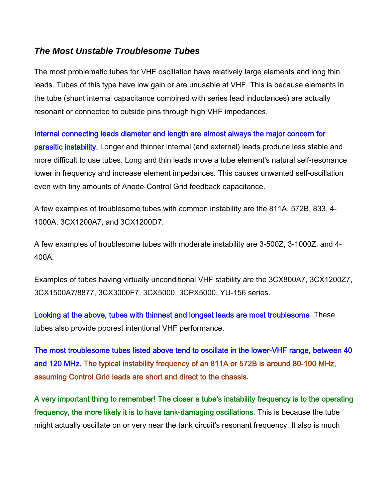#### *The Most Unstable Troublesome Tubes*

The most problematic tubes for VHF oscillation have relatively large elements and long thin leads. Tubes of this type have low gain or are unusable at VHF. This is because elements in the tube (shunt internal capacitance combined with series lead inductances) are actually resonant or connected to outside pins through high VHF impedances.

Internal connecting leads diameter and length are almost always the major concern for parasitic instability. Longer and thinner internal (and external) leads produce less stable and more difficult to use tubes. Long and thin leads move a tube element's natural self-resonance lower in frequency and increase element impedances. This causes unwanted self-oscillation even with tiny amounts of Anode-Control Grid feedback capacitance.

A few examples of troublesome tubes with common instability are the 811A, 572B, 833, 4- 1000A, 3CX1200A7, and 3CX1200D7.

A few examples of troublesome tubes with moderate instability are 3-500Z, 3-1000Z, and 4- 400A.

Examples of tubes having virtually unconditional VHF stability are the 3CX800A7, 3CX1200Z7, 3CX1500A7/8877, 3CX3000F7, 3CX5000, 3CPX5000, YU-156 series.

Looking at the above, tubes with thinnest and longest leads are most troublesome. These tubes also provide poorest intentional VHF performance.

The most troublesome tubes listed above tend to oscillate in the lower-VHF range, between 40 and 120 MHz. The typical instability frequency of an 811A or 572B is around 80-100 MHz, assuming Control Grid leads are short and direct to the chassis.

A very important thing to remember! The closer a tube's instability frequency is to the operating frequency, the more likely it is to have tank-damaging oscillations. This is because the tube might actually oscillate on or very near the tank circuit's resonant frequency. It also is much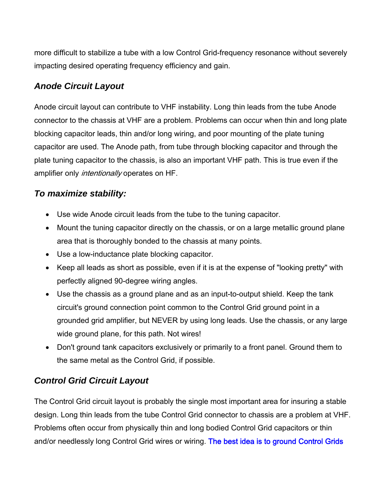more difficult to stabilize a tube with a low Control Grid-frequency resonance without severely impacting desired operating frequency efficiency and gain.

### *Anode Circuit Layout*

Anode circuit layout can contribute to VHF instability. Long thin leads from the tube Anode connector to the chassis at VHF are a problem. Problems can occur when thin and long plate blocking capacitor leads, thin and/or long wiring, and poor mounting of the plate tuning capacitor are used. The Anode path, from tube through blocking capacitor and through the plate tuning capacitor to the chassis, is also an important VHF path. This is true even if the amplifier only *intentionally* operates on HF.

#### *To maximize stability:*

- Use wide Anode circuit leads from the tube to the tuning capacitor.
- Mount the tuning capacitor directly on the chassis, or on a large metallic ground plane area that is thoroughly bonded to the chassis at many points.
- Use a low-inductance plate blocking capacitor.
- Keep all leads as short as possible, even if it is at the expense of "looking pretty" with perfectly aligned 90-degree wiring angles.
- Use the chassis as a ground plane and as an input-to-output shield. Keep the tank circuit's ground connection point common to the Control Grid ground point in a grounded grid amplifier, but NEVER by using long leads. Use the chassis, or any large wide ground plane, for this path. Not wires!
- Don't ground tank capacitors exclusively or primarily to a front panel. Ground them to the same metal as the Control Grid, if possible.

#### *Control Grid Circuit Layout*

The Control Grid circuit layout is probably the single most important area for insuring a stable design. Long thin leads from the tube Control Grid connector to chassis are a problem at VHF. Problems often occur from physically thin and long bodied Control Grid capacitors or thin and/or needlessly long Control Grid wires or wiring. The best idea is to ground Control Grids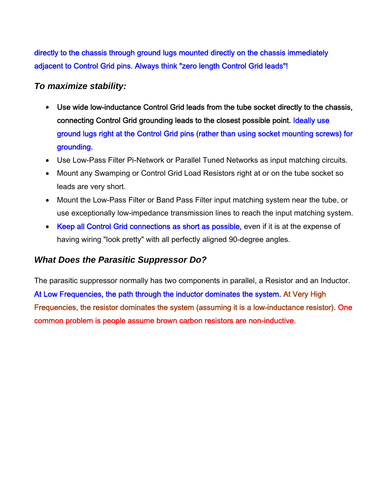directly to the chassis through ground lugs mounted directly on the chassis immediately adjacent to Control Grid pins. Always think "zero length Control Grid leads"!

#### *To maximize stability:*

- Use wide low-inductance Control Grid leads from the tube socket directly to the chassis, connecting Control Grid grounding leads to the closest possible point. Ideally use ground lugs right at the Control Grid pins (rather than using socket mounting screws) for grounding.
- Use Low-Pass Filter Pi-Network or Parallel Tuned Networks as input matching circuits.
- Mount any Swamping or Control Grid Load Resistors right at or on the tube socket so leads are very short.
- Mount the Low-Pass Filter or Band Pass Filter input matching system near the tube, or use exceptionally low-impedance transmission lines to reach the input matching system.
- Keep all Control Grid connections as short as possible, even if it is at the expense of having wiring "look pretty" with all perfectly aligned 90-degree angles.

#### *What Does the Parasitic Suppressor Do?*

The parasitic suppressor normally has two components in parallel, a Resistor and an Inductor. At Low Frequencies, the path through the inductor dominates the system. At Very High Frequencies, the resistor dominates the system (assuming it is a low-inductance resistor). One common problem is people assume brown carbon resistors are non-inductive.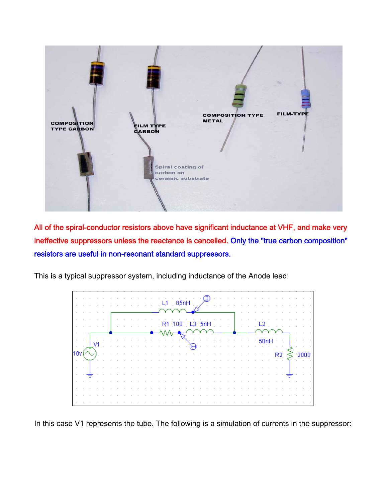

All of the spiral-conductor resistors above have significant inductance at VHF, and make very ineffective suppressors unless the reactance is cancelled. Only the "true carbon composition" resistors are useful in non-resonant standard suppressors.

This is a typical suppressor system, including inductance of the Anode lead:



In this case V1 represents the tube. The following is a simulation of currents in the suppressor: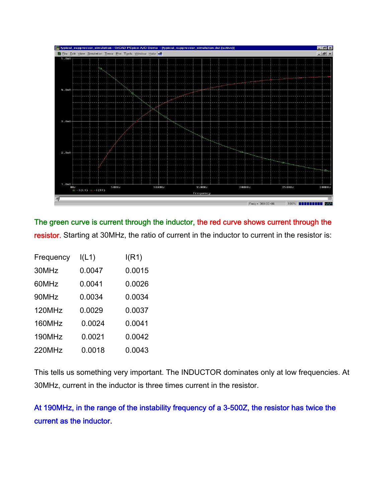

The green curve is current through the inductor, the red curve shows current through the resistor. Starting at 30MHz, the ratio of current in the inductor to current in the resistor is:

| Frequency | I(L1)  | I(R1)  |
|-----------|--------|--------|
| 30MHz     | 0.0047 | 0.0015 |
| 60MHz     | 0.0041 | 0.0026 |
| 90MHz     | 0.0034 | 0.0034 |
| 120MHz    | 0.0029 | 0.0037 |
| 160MHz    | 0.0024 | 0.0041 |
| 190MHz    | 0.0021 | 0.0042 |
| 220MHz    | 0.0018 | 0.0043 |

This tells us something very important. The INDUCTOR dominates only at low frequencies. At 30MHz, current in the inductor is three times current in the resistor.

At 190MHz, in the range of the instability frequency of a 3-500Z, the resistor has twice the current as the inductor.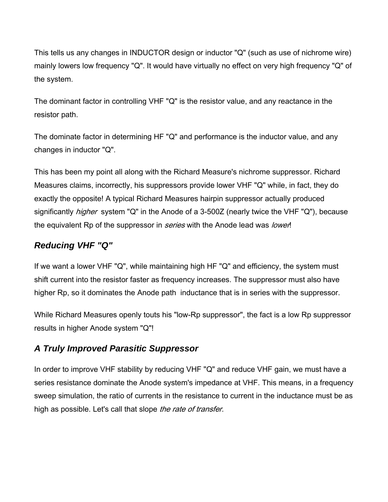This tells us any changes in INDUCTOR design or inductor "Q" (such as use of nichrome wire) mainly lowers low frequency "Q". It would have virtually no effect on very high frequency "Q" of the system.

The dominant factor in controlling VHF "Q" is the resistor value, and any reactance in the resistor path.

The dominate factor in determining HF "Q" and performance is the inductor value, and any changes in inductor "Q".

This has been my point all along with the Richard Measure's nichrome suppressor. Richard Measures claims, incorrectly, his suppressors provide lower VHF "Q" while, in fact, they do exactly the opposite! A typical Richard Measures hairpin suppressor actually produced significantly *higher* system "Q" in the Anode of a 3-500Z (nearly twice the VHF "Q"), because the equivalent Rp of the suppressor in *series* with the Anode lead was lower!

#### *Reducing VHF "Q"*

If we want a lower VHF "Q", while maintaining high HF "Q" and efficiency, the system must shift current into the resistor faster as frequency increases. The suppressor must also have higher Rp, so it dominates the Anode path inductance that is in series with the suppressor.

While Richard Measures openly touts his "low-Rp suppressor", the fact is a low Rp suppressor results in higher Anode system "Q"!

#### *A Truly Improved Parasitic Suppressor*

In order to improve VHF stability by reducing VHF "Q" and reduce VHF gain, we must have a series resistance dominate the Anode system's impedance at VHF. This means, in a frequency sweep simulation, the ratio of currents in the resistance to current in the inductance must be as high as possible. Let's call that slope the rate of transfer.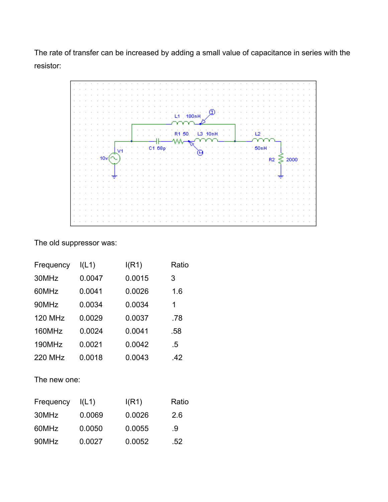The rate of transfer can be increased by adding a small value of capacitance in series with the resistor:



The old suppressor was:

| Frequency      | I(L1)  | I(R1)  | Ratio |
|----------------|--------|--------|-------|
| 30MHz          | 0.0047 | 0.0015 | 3     |
| 60MHz          | 0.0041 | 0.0026 | 1.6   |
| 90MHz          | 0.0034 | 0.0034 | 1     |
| <b>120 MHz</b> | 0.0029 | 0.0037 | .78   |
| 160MHz         | 0.0024 | 0.0041 | .58   |
| 190MHz         | 0.0021 | 0.0042 | .5    |
| 220 MHz        | 0.0018 | 0.0043 | .42   |
|                |        |        |       |

The new one:

| Frequency | I(L1)  | I(R1)  | Ratio |
|-----------|--------|--------|-------|
| 30MHz     | 0.0069 | 0.0026 | 2.6   |
| 60MHz     | 0.0050 | 0.0055 | .9    |
| 90MHz     | 0.0027 | 0.0052 | .52   |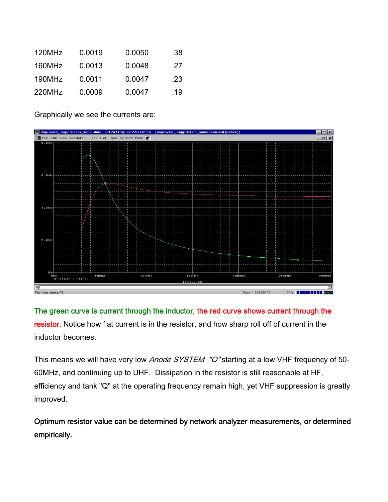| 120MHz | 0.0019 | 0.0050 | .38 |
|--------|--------|--------|-----|
| 160MHz | 0.0013 | 0.0048 | .27 |
| 190MHz | 0.0011 | 0.0047 | .23 |
| 220MHz | 0.0009 | 0.0047 | -19 |

Graphically we see the currents are:



The green curve is current through the inductor, the red curve shows current through the resistor. Notice how flat current is in the resistor, and how sharp roll off of current in the inductor becomes.

This means we will have very low Anode SYSTEM "Q" starting at a low VHF frequency of 50-60MHz, and continuing up to UHF. Dissipation in the resistor is still reasonable at HF, efficiency and tank "Q" at the operating frequency remain high, yet VHF suppression is greatly improved.

Optimum resistor value can be determined by network analyzer measurements, or determined empirically.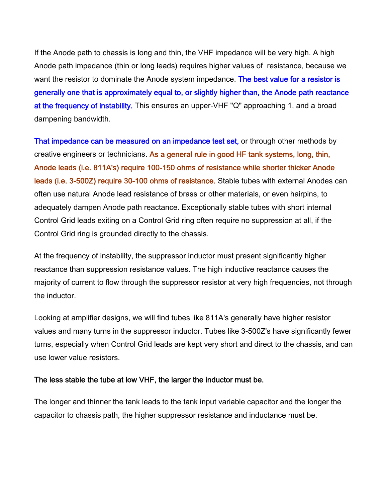If the Anode path to chassis is long and thin, the VHF impedance will be very high. A high Anode path impedance (thin or long leads) requires higher values of resistance, because we want the resistor to dominate the Anode system impedance. The best value for a resistor is generally one that is approximately equal to, or slightly higher than, the Anode path reactance at the frequency of instability. This ensures an upper-VHF "Q" approaching 1, and a broad dampening bandwidth.

That impedance can be measured on an impedance test set, or through other methods by creative engineers or technicians. As a general rule in good HF tank systems, long, thin, Anode leads (i.e. 811A's) require 100-150 ohms of resistance while shorter thicker Anode leads (i.e. 3-500Z) require 30-100 ohms of resistance. Stable tubes with external Anodes can often use natural Anode lead resistance of brass or other materials, or even hairpins, to adequately dampen Anode path reactance. Exceptionally stable tubes with short internal Control Grid leads exiting on a Control Grid ring often require no suppression at all, if the Control Grid ring is grounded directly to the chassis.

At the frequency of instability, the suppressor inductor must present significantly higher reactance than suppression resistance values. The high inductive reactance causes the majority of current to flow through the suppressor resistor at very high frequencies, not through the inductor.

Looking at amplifier designs, we will find tubes like 811A's generally have higher resistor values and many turns in the suppressor inductor. Tubes like 3-500Z's have significantly fewer turns, especially when Control Grid leads are kept very short and direct to the chassis, and can use lower value resistors.

#### The less stable the tube at low VHF, the larger the inductor must be.

The longer and thinner the tank leads to the tank input variable capacitor and the longer the capacitor to chassis path, the higher suppressor resistance and inductance must be.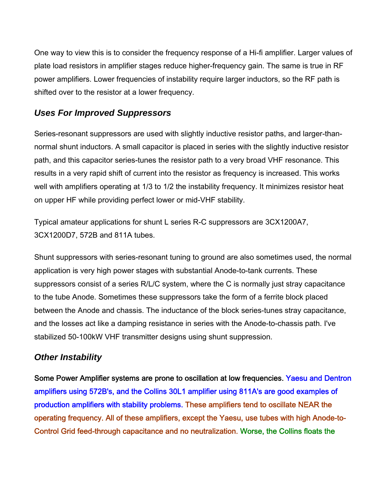One way to view this is to consider the frequency response of a Hi-fi amplifier. Larger values of plate load resistors in amplifier stages reduce higher-frequency gain. The same is true in RF power amplifiers. Lower frequencies of instability require larger inductors, so the RF path is shifted over to the resistor at a lower frequency.

## *Uses For Improved Suppressors*

Series-resonant suppressors are used with slightly inductive resistor paths, and larger-thannormal shunt inductors. A small capacitor is placed in series with the slightly inductive resistor path, and this capacitor series-tunes the resistor path to a very broad VHF resonance. This results in a very rapid shift of current into the resistor as frequency is increased. This works well with amplifiers operating at 1/3 to 1/2 the instability frequency. It minimizes resistor heat on upper HF while providing perfect lower or mid-VHF stability.

Typical amateur applications for shunt L series R-C suppressors are 3CX1200A7, 3CX1200D7, 572B and 811A tubes.

Shunt suppressors with series-resonant tuning to ground are also sometimes used, the normal application is very high power stages with substantial Anode-to-tank currents. These suppressors consist of a series R/L/C system, where the C is normally just stray capacitance to the tube Anode. Sometimes these suppressors take the form of a ferrite block placed between the Anode and chassis. The inductance of the block series-tunes stray capacitance, and the losses act like a damping resistance in series with the Anode-to-chassis path. I've stabilized 50-100kW VHF transmitter designs using shunt suppression.

#### *Other Instability*

Some Power Amplifier systems are prone to oscillation at low frequencies. Yaesu and Dentron amplifiers using 572B's, and the Collins 30L1 amplifier using 811A's are good examples of production amplifiers with stability problems. These amplifiers tend to oscillate NEAR the operating frequency. All of these amplifiers, except the Yaesu, use tubes with high Anode-to-Control Grid feed-through capacitance and no neutralization. Worse, the Collins floats the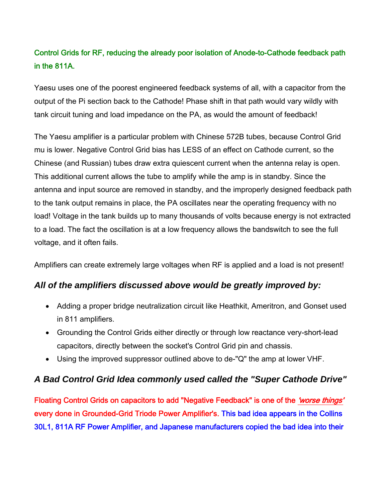# Control Grids for RF, reducing the already poor isolation of Anode-to-Cathode feedback path in the 811A.

Yaesu uses one of the poorest engineered feedback systems of all, with a capacitor from the output of the Pi section back to the Cathode! Phase shift in that path would vary wildly with tank circuit tuning and load impedance on the PA, as would the amount of feedback!

The Yaesu amplifier is a particular problem with Chinese 572B tubes, because Control Grid mu is lower. Negative Control Grid bias has LESS of an effect on Cathode current, so the Chinese (and Russian) tubes draw extra quiescent current when the antenna relay is open. This additional current allows the tube to amplify while the amp is in standby. Since the antenna and input source are removed in standby, and the improperly designed feedback path to the tank output remains in place, the PA oscillates near the operating frequency with no load! Voltage in the tank builds up to many thousands of volts because energy is not extracted to a load. The fact the oscillation is at a low frequency allows the bandswitch to see the full voltage, and it often fails.

Amplifiers can create extremely large voltages when RF is applied and a load is not present!

#### *All of the amplifiers discussed above would be greatly improved by:*

- Adding a proper bridge neutralization circuit like Heathkit, Ameritron, and Gonset used in 811 amplifiers.
- Grounding the Control Grids either directly or through low reactance very-short-lead capacitors, directly between the socket's Control Grid pin and chassis.
- Using the improved suppressor outlined above to de-"Q" the amp at lower VHF.

#### *A Bad Control Grid Idea commonly used called the "Super Cathode Drive"*

Floating Control Grids on capacitors to add "Negative Feedback" is one of the 'worse things' every done in Grounded-Grid Triode Power Amplifier's. This bad idea appears in the Collins 30L1, 811A RF Power Amplifier, and Japanese manufacturers copied the bad idea into their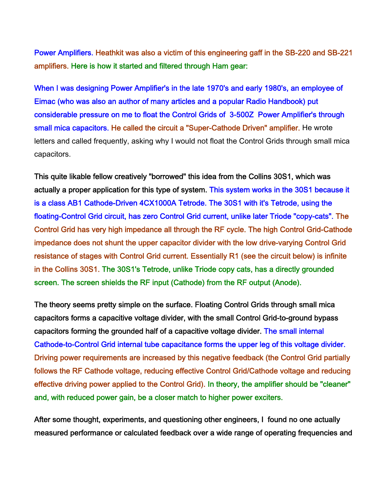Power Amplifiers. Heathkit was also a victim of this engineering gaff in the SB-220 and SB-221 amplifiers. Here is how it started and filtered through Ham gear:

When I was designing Power Amplifier's in the late 1970's and early 1980's, an employee of Eimac (who was also an author of many articles and a popular Radio Handbook) put considerable pressure on me to float the Control Grids of 3-500Z Power Amplifier's through small mica capacitors. He called the circuit a "Super-Cathode Driven" amplifier. He wrote letters and called frequently, asking why I would not float the Control Grids through small mica capacitors.

This quite likable fellow creatively "borrowed" this idea from the Collins 30S1, which was actually a proper application for this type of system. This system works in the 30S1 because it is a class AB1 Cathode-Driven 4CX1000A Tetrode. The 30S1 with it's Tetrode, using the floating-Control Grid circuit, has zero Control Grid current, unlike later Triode "copy-cats". The Control Grid has very high impedance all through the RF cycle. The high Control Grid-Cathode impedance does not shunt the upper capacitor divider with the low drive-varying Control Grid resistance of stages with Control Grid current. Essentially R1 (see the circuit below) is infinite in the Collins 30S1. The 30S1's Tetrode, unlike Triode copy cats, has a directly grounded screen. The screen shields the RF input (Cathode) from the RF output (Anode).

The theory seems pretty simple on the surface. Floating Control Grids through small mica capacitors forms a capacitive voltage divider, with the small Control Grid-to-ground bypass capacitors forming the grounded half of a capacitive voltage divider. The small internal Cathode-to-Control Grid internal tube capacitance forms the upper leg of this voltage divider. Driving power requirements are increased by this negative feedback (the Control Grid partially follows the RF Cathode voltage, reducing effective Control Grid/Cathode voltage and reducing effective driving power applied to the Control Grid). In theory, the amplifier should be "cleaner" and, with reduced power gain, be a closer match to higher power exciters.

After some thought, experiments, and questioning other engineers, I found no one actually measured performance or calculated feedback over a wide range of operating frequencies and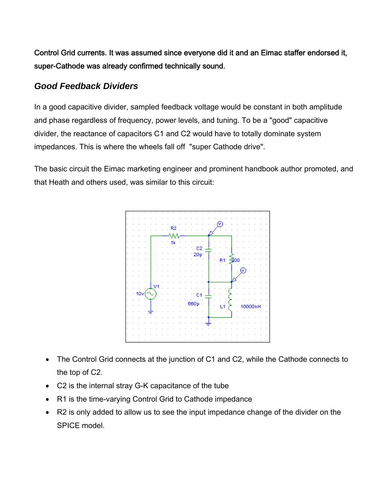Control Grid currents. It was assumed since everyone did it and an Eimac staffer endorsed it, super-Cathode was already confirmed technically sound.

#### *Good Feedback Dividers*

In a good capacitive divider, sampled feedback voltage would be constant in both amplitude and phase regardless of frequency, power levels, and tuning. To be a "good" capacitive divider, the reactance of capacitors C1 and C2 would have to totally dominate system impedances. This is where the wheels fall off "super Cathode drive".

The basic circuit the Eimac marketing engineer and prominent handbook author promoted, and that Heath and others used, was similar to this circuit:



- The Control Grid connects at the junction of C1 and C2, while the Cathode connects to the top of C2.
- C2 is the internal stray G-K capacitance of the tube
- R1 is the time-varying Control Grid to Cathode impedance
- R2 is only added to allow us to see the input impedance change of the divider on the SPICE model.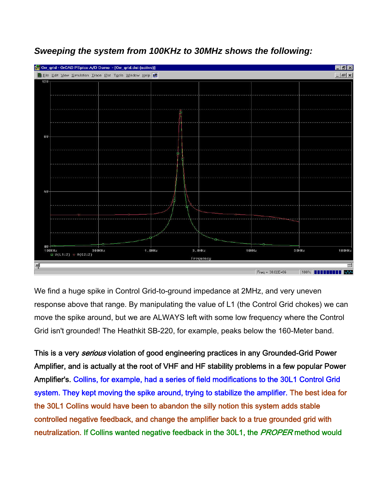

*Sweeping the system from 100KHz to 30MHz shows the following:* 

We find a huge spike in Control Grid-to-ground impedance at 2MHz, and very uneven response above that range. By manipulating the value of L1 (the Control Grid chokes) we can move the spike around, but we are ALWAYS left with some low frequency where the Control Grid isn't grounded! The Heathkit SB-220, for example, peaks below the 160-Meter band.

This is a very *serious* violation of good engineering practices in any Grounded-Grid Power Amplifier, and is actually at the root of VHF and HF stability problems in a few popular Power Amplifier's. Collins, for example, had a series of field modifications to the 30L1 Control Grid system. They kept moving the spike around, trying to stabilize the amplifier. The best idea for the 30L1 Collins would have been to abandon the silly notion this system adds stable controlled negative feedback, and change the amplifier back to a true grounded grid with neutralization. If Collins wanted negative feedback in the 30L1, the PROPER method would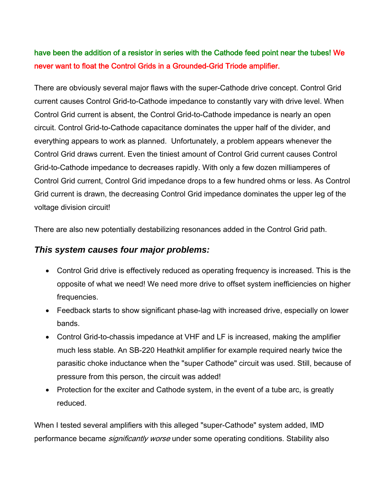# have been the addition of a resistor in series with the Cathode feed point near the tubes! We never want to float the Control Grids in a Grounded-Grid Triode amplifier.

There are obviously several major flaws with the super-Cathode drive concept. Control Grid current causes Control Grid-to-Cathode impedance to constantly vary with drive level. When Control Grid current is absent, the Control Grid-to-Cathode impedance is nearly an open circuit. Control Grid-to-Cathode capacitance dominates the upper half of the divider, and everything appears to work as planned. Unfortunately, a problem appears whenever the Control Grid draws current. Even the tiniest amount of Control Grid current causes Control Grid-to-Cathode impedance to decreases rapidly. With only a few dozen milliamperes of Control Grid current, Control Grid impedance drops to a few hundred ohms or less. As Control Grid current is drawn, the decreasing Control Grid impedance dominates the upper leg of the voltage division circuit!

There are also new potentially destabilizing resonances added in the Control Grid path.

#### *This system causes four major problems:*

- Control Grid drive is effectively reduced as operating frequency is increased. This is the opposite of what we need! We need more drive to offset system inefficiencies on higher frequencies.
- Feedback starts to show significant phase-lag with increased drive, especially on lower bands.
- Control Grid-to-chassis impedance at VHF and LF is increased, making the amplifier much less stable. An SB-220 Heathkit amplifier for example required nearly twice the parasitic choke inductance when the "super Cathode" circuit was used. Still, because of pressure from this person, the circuit was added!
- Protection for the exciter and Cathode system, in the event of a tube arc, is greatly reduced.

When I tested several amplifiers with this alleged "super-Cathode" system added, IMD performance became *significantly worse* under some operating conditions. Stability also